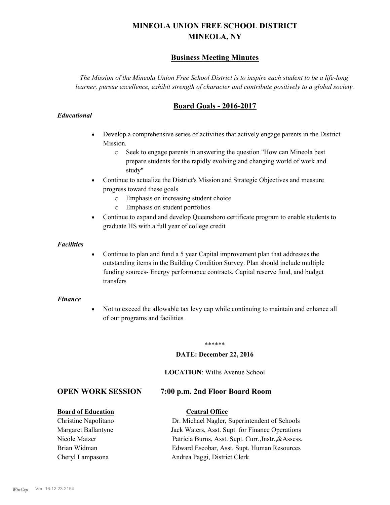# **MINEOLA UNION FREE SCHOOL DISTRICT MINEOLA, NY**

## **Business Meeting Minutes**

*The Mission of the Mineola Union Free School District is to inspire each student to be a life-long learner, pursue excellence, exhibit strength of character and contribute positively to a global society.*

# **Board Goals - 2016-2017**

#### *Educational*

- · Develop a comprehensive series of activities that actively engage parents in the District Mission.
	- o Seek to engage parents in answering the question "How can Mineola best prepare students for the rapidly evolving and changing world of work and study"
- · Continue to actualize the District's Mission and Strategic Objectives and measure progress toward these goals
	- o Emphasis on increasing student choice
	- o Emphasis on student portfolios
- · Continue to expand and develop Queensboro certificate program to enable students to graduate HS with a full year of college credit

#### *Facilities*

· Continue to plan and fund a 5 year Capital improvement plan that addresses the outstanding items in the Building Condition Survey. Plan should include multiple funding sources- Energy performance contracts, Capital reserve fund, and budget transfers

#### *Finance*

• Not to exceed the allowable tax levy cap while continuing to maintain and enhance all of our programs and facilities

#### \*\*\*\*\*\*

#### **DATE: December 22, 2016**

#### **LOCATION**: Willis Avenue School

### **OPEN WORK SESSION 7:00 p.m. 2nd Floor Board Room**

#### **Board of Education Central Office**

Christine Napolitano Dr. Michael Nagler, Superintendent of Schools Margaret Ballantyne Jack Waters, Asst. Supt. for Finance Operations Nicole Matzer Patricia Burns, Asst. Supt. Curr.,Instr.,&Assess. Brian Widman Edward Escobar, Asst. Supt. Human Resources Cheryl Lampasona Andrea Paggi, District Clerk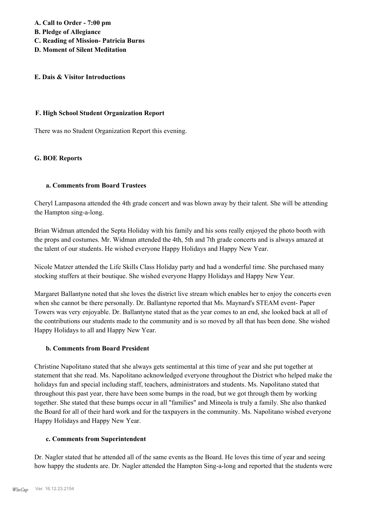**A. Call to Order - 7:00 pm**

- **B. Pledge of Allegiance**
- **C. Reading of Mission- Patricia Burns**
- **D. Moment of Silent Meditation**

### **E. Dais & Visitor Introductions**

#### **F. High School Student Organization Report**

There was no Student Organization Report this evening.

## **G. BOE Reports**

## **a. Comments from Board Trustees**

Cheryl Lampasona attended the 4th grade concert and was blown away by their talent. She will be attending the Hampton sing-a-long.

Brian Widman attended the Septa Holiday with his family and his sons really enjoyed the photo booth with the props and costumes. Mr. Widman attended the 4th, 5th and 7th grade concerts and is always amazed at the talent of our students. He wished everyone Happy Holidays and Happy New Year.

Nicole Matzer attended the Life Skills Class Holiday party and had a wonderful time. She purchased many stocking stuffers at their boutique. She wished everyone Happy Holidays and Happy New Year.

Margaret Ballantyne noted that she loves the district live stream which enables her to enjoy the concerts even when she cannot be there personally. Dr. Ballantyne reported that Ms. Maynard's STEAM event- Paper Towers was very enjoyable. Dr. Ballantyne stated that as the year comes to an end, she looked back at all of the contributions our students made to the community and is so moved by all that has been done. She wished Happy Holidays to all and Happy New Year.

### **b. Comments from Board President**

Christine Napolitano stated that she always gets sentimental at this time of year and she put together at statement that she read. Ms. Napolitano acknowledged everyone throughout the District who helped make the holidays fun and special including staff, teachers, administrators and students. Ms. Napolitano stated that throughout this past year, there have been some bumps in the road, but we got through them by working together. She stated that these bumps occur in all "families" and Mineola is truly a family. She also thanked the Board for all of their hard work and for the taxpayers in the community. Ms. Napolitano wished everyone Happy Holidays and Happy New Year.

### **c. Comments from Superintendent**

Dr. Nagler stated that he attended all of the same events as the Board. He loves this time of year and seeing how happy the students are. Dr. Nagler attended the Hampton Sing-a-long and reported that the students were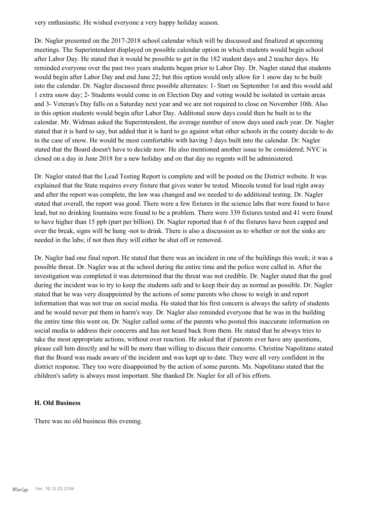very enthusiastic. He wished everyone a very happy holiday season.

Dr. Nagler presented on the 2017-2018 school calendar which will be discussed and finalized at upcoming meetings. The Superintendent displayed on possible calendar option in which students would begin school after Labor Day. He stated that it would be possible to get in the 182 student days and 2 teacher days. He reminded everyone over the past two years students began prior to Labor Day. Dr. Nagler stated that students would begin after Labor Day and end June 22; but this option would only allow for 1 snow day to be built into the calendar. Dr. Nagler discussed three possible alternates: 1- Start on September 1st and this would add 1 extra snow day; 2- Students would come in on Election Day and voting would be isolated in certain areas and 3- Veteran's Day falls on a Saturday next year and we are not required to close on November 10th. Also in this option students would begin after Labor Day. Additonal snow days could then be built in to the calendar. Mr. Widman asked the Superintendent, the average number of snow days used each year. Dr. Nagler stated that it is hard to say, but added that it is hard to go against what other schools in the county decide to do in the case of snow. He would be most comfortable with having 3 days built into the calendar. Dr. Nagler stated that the Board doesn't have to decide now. He also mentioned another issue to be considered; NYC is closed on a day in June 2018 for a new holiday and on that day no regents will be administered.

Dr. Nagler stated that the Lead Testing Report is complete and will be posted on the District website. It was explained that the State requires every fixture that gives water be tested. Mineola tested for lead right away and after the report was complete, the law was changed and we needed to do additional testing. Dr. Nagler stated that overall, the report was good. There were a few fixtures in the science labs that were found to have lead, but no drinking fountains were found to be a problem. There were 339 fixtures tested and 41 were found to have higher than 15 ppb (part per billion). Dr. Nagler reported that 6 of the fixtures have been capped and over the break, signs will be hung -not to drink. There is also a discussion as to whether or not the sinks are needed in the labs; if not then they will either be shut off or removed.

Dr. Nagler had one final report. He stated that there was an incident in one of the buildings this week; it was a possible threat. Dr. Nagler was at the school during the entire time and the police were called in. After the investigation was completed it was determined that the threat was not credible. Dr. Nagler stated that the goal during the incident was to try to keep the students safe and to keep their day as normal as possible. Dr. Nagler stated that he was very disappointed by the actions of some parents who chose to weigh in and report information that was not true on social media. He stated that his first concern is always the safety of students and he would never put them in harm's way. Dr. Nagler also reminded everyone that he was in the building the entire time this went on. Dr. Nagler called some of the parents who posted this inaccurate information on social media to address their concerns and has not heard back from them. He stated that he always tries to take the most appropriate actions, without over reaction. He asked that if parents ever have any questions, please call him directly and he will be more than willing to discuss their concerns. Christine Napolitano stated that the Board was made aware of the incident and was kept up to date. They were all very confident in the district response. They too were disappointed by the action of some parents. Ms. Napolitano stated that the children's safety is always most important. She thanked Dr. Nagler for all of his efforts.

#### **H. Old Business**

There was no old business this evening.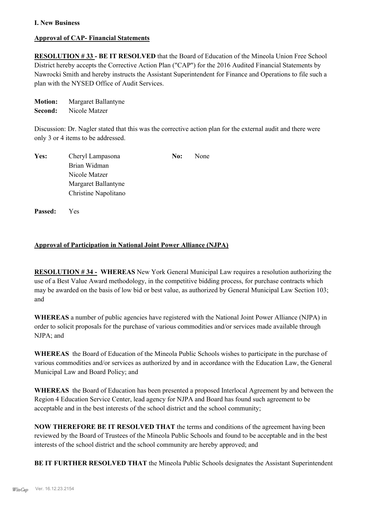### **I. New Business**

## **Approval of CAP- Financial Statements**

**RESOLUTION # 33 - BE IT RESOLVED** that the Board of Education of the Mineola Union Free School District hereby accepts the Corrective Action Plan ("CAP") for the 2016 Audited Financial Statements by Nawrocki Smith and hereby instructs the Assistant Superintendent for Finance and Operations to file such a plan with the NYSED Office of Audit Services.

**Motion:** Margaret Ballantyne **Second:** Nicole Matzer

Discussion: Dr. Nagler stated that this was the corrective action plan for the external audit and there were only 3 or 4 items to be addressed.

| Yes: | Cheryl Lampasona     | No: | None |
|------|----------------------|-----|------|
|      | Brian Widman         |     |      |
|      | Nicole Matzer        |     |      |
|      | Margaret Ballantyne  |     |      |
|      | Christine Napolitano |     |      |

**Passed:** Yes

### **Approval of Participation in National Joint Power Alliance (NJPA)**

**RESOLUTION # 34 - WHEREAS** New York General Municipal Law requires a resolution authorizing the use of a Best Value Award methodology, in the competitive bidding process, for purchase contracts which may be awarded on the basis of low bid or best value, as authorized by General Municipal Law Section 103; and

**WHEREAS** a number of public agencies have registered with the National Joint Power Alliance (NJPA) in order to solicit proposals for the purchase of various commodities and/or services made available through NJPA; and

**WHEREAS** the Board of Education of the Mineola Public Schools wishes to participate in the purchase of various commodities and/or services as authorized by and in accordance with the Education Law, the General Municipal Law and Board Policy; and

**WHEREAS** the Board of Education has been presented a proposed Interlocal Agreement by and between the Region 4 Education Service Center, lead agency for NJPA and Board has found such agreement to be acceptable and in the best interests of the school district and the school community;

**NOW THEREFORE BE IT RESOLVED THAT** the terms and conditions of the agreement having been reviewed by the Board of Trustees of the Mineola Public Schools and found to be acceptable and in the best interests of the school district and the school community are hereby approved; and

**BE IT FURTHER RESOLVED THAT** the Mineola Public Schools designates the Assistant Superintendent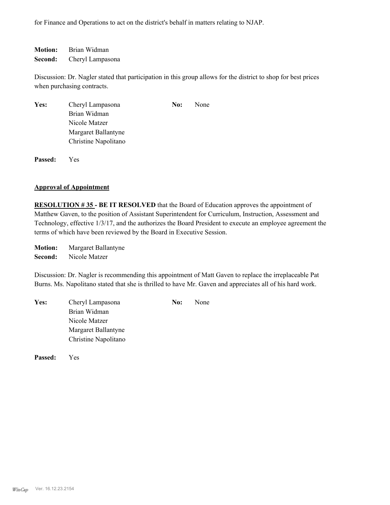for Finance and Operations to act on the district's behalf in matters relating to NJAP.

**Motion:** Brian Widman **Second:** Cheryl Lampasona

Discussion: Dr. Nagler stated that participation in this group allows for the district to shop for best prices when purchasing contracts.

| Yes:    | Cheryl Lampasona<br>Brian Widman            | No: | None |  |
|---------|---------------------------------------------|-----|------|--|
|         | Nicole Matzer                               |     |      |  |
|         | Margaret Ballantyne<br>Christine Napolitano |     |      |  |
| Passed: | Y es                                        |     |      |  |

#### **Approval of Appointment**

**RESOLUTION # 35 - BE IT RESOLVED** that the Board of Education approves the appointment of Matthew Gaven, to the position of Assistant Superintendent for Curriculum, Instruction, Assessment and Technology, effective 1/3/17, and the authorizes the Board President to execute an employee agreement the terms of which have been reviewed by the Board in Executive Session.

**Motion:** Margaret Ballantyne **Second:** Nicole Matzer

Discussion: Dr. Nagler is recommending this appointment of Matt Gaven to replace the irreplaceable Pat Burns. Ms. Napolitano stated that she is thrilled to have Mr. Gaven and appreciates all of his hard work.

| Yes: | Cheryl Lampasona     | No: | None |
|------|----------------------|-----|------|
|      | Brian Widman         |     |      |
|      | Nicole Matzer        |     |      |
|      | Margaret Ballantyne  |     |      |
|      | Christine Napolitano |     |      |
|      |                      |     |      |

**Passed:** Yes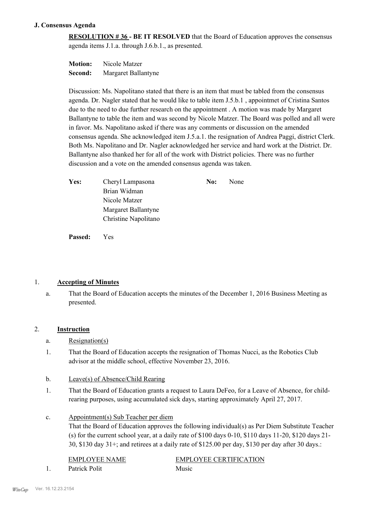### **J. Consensus Agenda**

**RESOLUTION # 36 - BE IT RESOLVED** that the Board of Education approves the consensus agenda items J.1.a. through J.6.b.1., as presented.

| <b>Motion:</b> | Nicole Matzer       |
|----------------|---------------------|
| Second:        | Margaret Ballantyne |

Discussion: Ms. Napolitano stated that there is an item that must be tabled from the consensus agenda. Dr. Nagler stated that he would like to table item J.5.b.1 , appointmet of Cristina Santos due to the need to due further research on the appointment . A motion was made by Margaret Ballantyne to table the item and was second by Nicole Matzer. The Board was polled and all were in favor. Ms. Napolitano asked if there was any comments or discussion on the amended consensus agenda. She acknowledged item J.5.a.1. the resignation of Andrea Paggi, district Clerk. Both Ms. Napolitano and Dr. Nagler acknowledged her service and hard work at the District. Dr. Ballantyne also thanked her for all of the work with District policies. There was no further discussion and a vote on the amended consensus agenda was taken.

| Yes: | Cheryl Lampasona     | No: | None |
|------|----------------------|-----|------|
|      | Brian Widman         |     |      |
|      | Nicole Matzer        |     |      |
|      | Margaret Ballantyne  |     |      |
|      | Christine Napolitano |     |      |

**Passed:** Yes

### 1. **Accepting of Minutes**

That the Board of Education accepts the minutes of the December 1, 2016 Business Meeting as presented. a.

### 2. **Instruction**

- a. Resignation(s)
- That the Board of Education accepts the resignation of Thomas Nucci, as the Robotics Club advisor at the middle school, effective November 23, 2016. 1.
- b. Leave(s) of Absence/Child Rearing
- That the Board of Education grants a request to Laura DeFeo, for a Leave of Absence, for childrearing purposes, using accumulated sick days, starting approximately April 27, 2017. 1.
- Appointment(s) Sub Teacher per diem c.

That the Board of Education approves the following individual(s) as Per Diem Substitute Teacher (s) for the current school year, at a daily rate of \$100 days 0-10, \$110 days 11-20, \$120 days 21- 30, \$130 day 31+; and retirees at a daily rate of \$125.00 per day, \$130 per day after 30 days.:

| <b>EMPLOYEE NAME</b> | EMPLOYEE CERTIFICATION |
|----------------------|------------------------|
| Patrick Polit        | Music                  |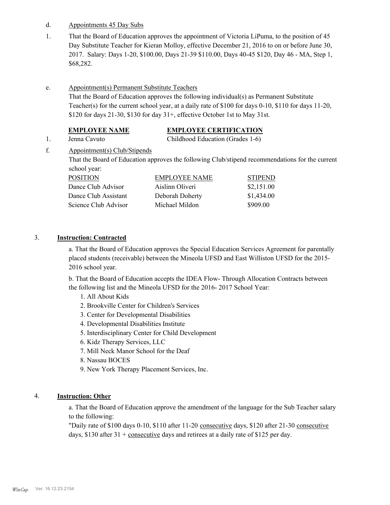- d. Appointments 45 Day Subs
- That the Board of Education approves the appointment of Victoria LiPuma, to the position of 45 Day Substitute Teacher for Kieran Molloy, effective December 21, 2016 to on or before June 30, 2017. Salary: Days 1-20, \$100.00, Days 21-39 \$110.00, Days 40-45 \$120, Day 46 - MA, Step 1, \$68,282. 1.
- Appointment(s) Permanent Substitute Teachers e.

That the Board of Education approves the following individual(s) as Permanent Substitute Teacher(s) for the current school year, at a daily rate of \$100 for days 0-10, \$110 for days 11-20, \$120 for days 21-30, \$130 for day 31+, effective October 1st to May 31st.

#### **EMPLOYEE NAME EMPLOYEE CERTIFICATION**

1. Jenna Cavuto Childhood Education (Grades 1-6)

Appointment(s) Club/Stipends That the Board of Education approves the following Club/stipend recommendations for the current school year:

POSITION EMPLOYEE NAME STIPEND Dance Club Advisor Aislinn Oliveri \$2,151.00 Dance Club Assistant Deborah Doherty \$1,434.00 Science Club Advisor Michael Mildon \$909.00

#### 3. **Instruction: Contracted**

f.

a. That the Board of Education approves the Special Education Services Agreement for parentally placed students (receivable) between the Mineola UFSD and East Williston UFSD for the 2015- 2016 school year.

b. That the Board of Education accepts the IDEA Flow- Through Allocation Contracts between the following list and the Mineola UFSD for the 2016- 2017 School Year:

- 1. All About Kids
- 2. Brookville Center for Children's Services
- 3. Center for Developmental Disabilities
- 4. Developmental Disabilities Institute
- 5. Interdisciplinary Center for Child Development
- 6. Kidz Therapy Services, LLC
- 7. Mill Neck Manor School for the Deaf
- 8. Nassau BOCES
- 9. New York Therapy Placement Services, Inc.

## 4. **Instruction: Other**

a. That the Board of Education approve the amendment of the language for the Sub Teacher salary to the following:

"Daily rate of \$100 days 0-10, \$110 after 11-20 consecutive days, \$120 after 21-30 consecutive days, \$130 after  $31 + \text{consecutive}$  days and retirees at a daily rate of \$125 per day.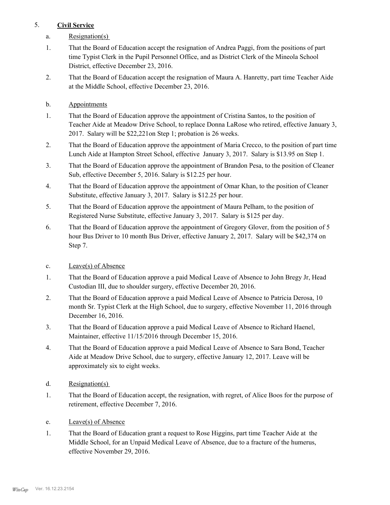## 5. **Civil Service**

- a. Resignation(s)
- That the Board of Education accept the resignation of Andrea Paggi, from the positions of part time Typist Clerk in the Pupil Personnel Office, and as District Clerk of the Mineola School District, effective December 23, 2016. 1.
- That the Board of Education accept the resignation of Maura A. Hanretty, part time Teacher Aide at the Middle School, effective December 23, 2016. 2.
- b. Appointments
- That the Board of Education approve the appointment of Cristina Santos, to the position of Teacher Aide at Meadow Drive School, to replace Donna LaRose who retired, effective January 3, 2017. Salary will be \$22,221on Step 1; probation is 26 weeks. 1.
- That the Board of Education approve the appointment of Maria Crecco, to the position of part time Lunch Aide at Hampton Street School, effective January 3, 2017. Salary is \$13.95 on Step 1. 2.
- That the Board of Education approve the appointment of Brandon Pesa, to the position of Cleaner Sub, effective December 5, 2016. Salary is \$12.25 per hour. 3.
- That the Board of Education approve the appointment of Omar Khan, to the position of Cleaner Substitute, effective January 3, 2017. Salary is \$12.25 per hour. 4.
- That the Board of Education approve the appointment of Maura Pelham, to the position of Registered Nurse Substitute, effective January 3, 2017. Salary is \$125 per day. 5.
- That the Board of Education approve the appointment of Gregory Glover, from the position of 5 hour Bus Driver to 10 month Bus Driver, effective January 2, 2017. Salary will be \$42,374 on Step 7. 6.
- c. Leave(s) of Absence
- That the Board of Education approve a paid Medical Leave of Absence to John Bregy Jr, Head Custodian III, due to shoulder surgery, effective December 20, 2016. 1.
- That the Board of Education approve a paid Medical Leave of Absence to Patricia Derosa, 10 month Sr. Typist Clerk at the High School, due to surgery, effective November 11, 2016 through December 16, 2016. 2.
- That the Board of Education approve a paid Medical Leave of Absence to Richard Haenel, Maintainer, effective 11/15/2016 through December 15, 2016. 3.
- That the Board of Education approve a paid Medical Leave of Absence to Sara Bond, Teacher Aide at Meadow Drive School, due to surgery, effective January 12, 2017. Leave will be approximately six to eight weeks. 4.
- d. Resignation(s)
- That the Board of Education accept, the resignation, with regret, of Alice Boos for the purpose of retirement, effective December 7, 2016. 1.
- e. Leave(s) of Absence
- That the Board of Education grant a request to Rose Higgins, part time Teacher Aide at the Middle School, for an Unpaid Medical Leave of Absence, due to a fracture of the humerus, effective November 29, 2016. 1.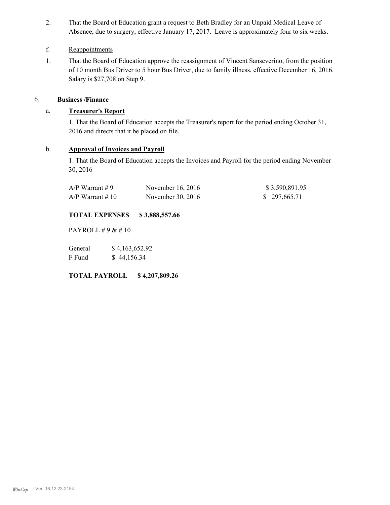That the Board of Education grant a request to Beth Bradley for an Unpaid Medical Leave of Absence, due to surgery, effective January 17, 2017. Leave is approximately four to six weeks. 2.

## f. Reappointments

That the Board of Education approve the reassignment of Vincent Sanseverino, from the position of 10 month Bus Driver to 5 hour Bus Driver, due to family illness, effective December 16, 2016. Salary is \$27,708 on Step 9. 1.

## 6. **Business /Finance**

## a. **Treasurer's Report**

1. That the Board of Education accepts the Treasurer's report for the period ending October 31, 2016 and directs that it be placed on file.

### b. **Approval of Invoices and Payroll**

1. That the Board of Education accepts the Invoices and Payroll for the period ending November 30, 2016

| $A/P$ Warrant #9   | November 16, 2016 | \$3,590,891.95 |
|--------------------|-------------------|----------------|
| $A/P$ Warrant # 10 | November 30, 2016 | \$297,665.71   |

## **TOTAL EXPENSES \$ 3,888,557.66**

PAYROLL # 9 & # 10

General  $$4,163,652.92$ F Fund \$ 44,156.34

**TOTAL PAYROLL \$ 4,207,809.26**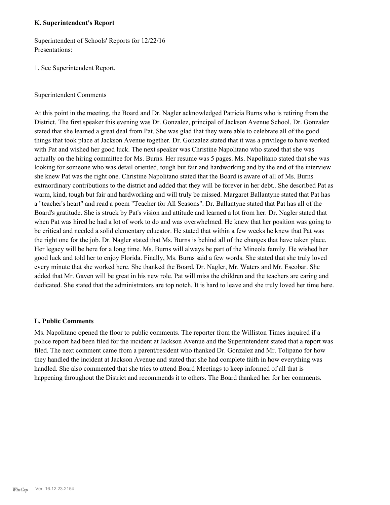#### **K. Superintendent's Report**

Superintendent of Schools' Reports for 12/22/16 Presentations:

1. See Superintendent Report.

### Superintendent Comments

At this point in the meeting, the Board and Dr. Nagler acknowledged Patricia Burns who is retiring from the District. The first speaker this evening was Dr. Gonzalez, principal of Jackson Avenue School. Dr. Gonzalez stated that she learned a great deal from Pat. She was glad that they were able to celebrate all of the good things that took place at Jackson Avenue together. Dr. Gonzalez stated that it was a privilege to have worked with Pat and wished her good luck. The next speaker was Christine Napolitano who stated that she was actually on the hiring committee for Ms. Burns. Her resume was 5 pages. Ms. Napolitano stated that she was looking for someone who was detail oriented, tough but fair and hardworking and by the end of the interview she knew Pat was the right one. Christine Napolitano stated that the Board is aware of all of Ms. Burns extraordinary contributions to the district and added that they will be forever in her debt.. She described Pat as warm, kind, tough but fair and hardworking and will truly be missed. Margaret Ballantyne stated that Pat has a "teacher's heart" and read a poem "Teacher for All Seasons". Dr. Ballantyne stated that Pat has all of the Board's gratitude. She is struck by Pat's vision and attitude and learned a lot from her. Dr. Nagler stated that when Pat was hired he had a lot of work to do and was overwhelmed. He knew that her position was going to be critical and needed a solid elementary educator. He stated that within a few weeks he knew that Pat was the right one for the job. Dr. Nagler stated that Ms. Burns is behind all of the changes that have taken place. Her legacy will be here for a long time. Ms. Burns will always be part of the Mineola family. He wished her good luck and told her to enjoy Florida. Finally, Ms. Burns said a few words. She stated that she truly loved every minute that she worked here. She thanked the Board, Dr. Nagler, Mr. Waters and Mr. Escobar. She added that Mr. Gaven will be great in his new role. Pat will miss the children and the teachers are caring and dedicated. She stated that the administrators are top notch. It is hard to leave and she truly loved her time here.

### **L. Public Comments**

Ms. Napolitano opened the floor to public comments. The reporter from the Williston Times inquired if a police report had been filed for the incident at Jackson Avenue and the Superintendent stated that a report was filed. The next comment came from a parent/resident who thanked Dr. Gonzalez and Mr. Tolipano for how they handled the incident at Jackson Avenue and stated that she had complete faith in how everything was handled. She also commented that she tries to attend Board Meetings to keep informed of all that is happening throughout the District and recommends it to others. The Board thanked her for her comments.